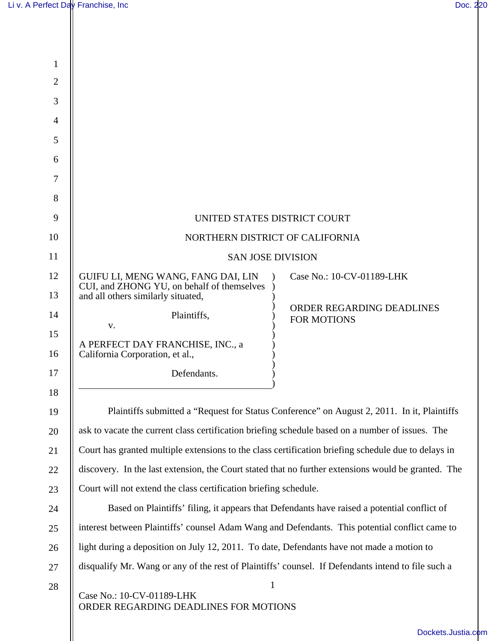| $\mathbf{1}$   |                                                                                                               |
|----------------|---------------------------------------------------------------------------------------------------------------|
| $\overline{2}$ |                                                                                                               |
| 3              |                                                                                                               |
| 4              |                                                                                                               |
| 5              |                                                                                                               |
| 6              |                                                                                                               |
| 7              |                                                                                                               |
| 8              |                                                                                                               |
| 9              | UNITED STATES DISTRICT COURT                                                                                  |
| 10             | NORTHERN DISTRICT OF CALIFORNIA                                                                               |
| 11             | <b>SAN JOSE DIVISION</b>                                                                                      |
| 12             | GUIFU LI, MENG WANG, FANG DAI, LIN<br>Case No.: 10-CV-01189-LHK<br>CUI, and ZHONG YU, on behalf of themselves |
| 13             | and all others similarly situated,                                                                            |
| 14             | ORDER REGARDING DEADLINES<br>Plaintiffs,<br><b>FOR MOTIONS</b>                                                |
| 15             | V.<br>A PERFECT DAY FRANCHISE, INC., a                                                                        |
| 16             | California Corporation, et al.,                                                                               |
| 17             | Defendants.                                                                                                   |
| 18             |                                                                                                               |
| 19             | Plaintiffs submitted a "Request for Status Conference" on August 2, 2011. In it, Plaintiffs                   |
| 20             | ask to vacate the current class certification briefing schedule based on a number of issues. The              |
| 21             | Court has granted multiple extensions to the class certification briefing schedule due to delays in           |
| 22             | discovery. In the last extension, the Court stated that no further extensions would be granted. The           |
| 23             | Court will not extend the class certification briefing schedule.                                              |
| 24             | Based on Plaintiffs' filing, it appears that Defendants have raised a potential conflict of                   |
| 25             | interest between Plaintiffs' counsel Adam Wang and Defendants. This potential conflict came to                |
| 26             | light during a deposition on July 12, 2011. To date, Defendants have not made a motion to                     |
| 27             | disqualify Mr. Wang or any of the rest of Plaintiffs' counsel. If Defendants intend to file such a            |
| 28             | $\mathbf{1}$<br>Case No.: 10-CV-01189-LHK<br>ORDER REGARDING DEADLINES FOR MOTIONS                            |
|                | Dockets.Justia.com                                                                                            |